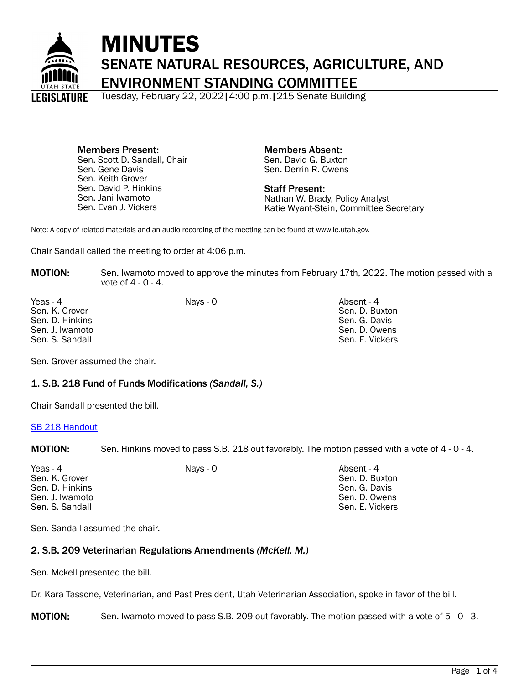

# MINUTES SENATE NATURAL RESOURCES, AGRICULTURE, AND ENVIRONMENT STANDING COMMITTEE

Tuesday, February 22, 2022|4:00 p.m.|215 Senate Building

Members Present: Sen. Scott D. Sandall, Chair Sen. Gene Davis Sen. Keith Grover Sen. David P. Hinkins Sen. Jani Iwamoto Sen. Evan J. Vickers

Members Absent: Sen. David G. Buxton Sen. Derrin R. Owens

Staff Present: Nathan W. Brady, Policy Analyst Katie Wyant-Stein, Committee Secretary

Note: A copy of related materials and an audio recording of the meeting can be found at www.le.utah.gov.

Chair Sandall called the meeting to order at 4:06 p.m.

**MOTION:** Sen. Iwamoto moved to approve the minutes from February 17th, 2022. The motion passed with a vote of 4 - 0 - 4.

Yeas - 4 Nays - 0 Nays - 0 Absent - 4 Absent - 4 Sen. K. Grover Sen. D. Hinkins Sen. J. Iwamoto Sen. S. Sandall

Sen. D. Buxton Sen. G. Davis Sen. D. Owens Sen. E. Vickers

Sen. Grover assumed the chair.

# 1. S.B. 218 Fund of Funds Modifications *(Sandall, S.)*

Chair Sandall presented the bill.

#### [SB 218 Handout](https://le.utah.gov/interim/2022/pdf/00001907.pdf)

MOTION: Sen. Hinkins moved to pass S.B. 218 out favorably. The motion passed with a vote of 4 - 0 - 4.

| Yeas - 4        | Nays - 0 | Absent - 4      |
|-----------------|----------|-----------------|
| Sen. K. Grover  |          | Sen. D. Buxton  |
| Sen. D. Hinkins |          | Sen. G. Davis   |
| Sen. J. Iwamoto |          | Sen. D. Owens   |
| Sen. S. Sandall |          | Sen. E. Vickers |

Sen. Sandall assumed the chair.

#### 2. S.B. 209 Veterinarian Regulations Amendments *(McKell, M.)*

Sen. Mckell presented the bill.

Dr. Kara Tassone, Veterinarian, and Past President, Utah Veterinarian Association, spoke in favor of the bill.

MOTION: Sen. Iwamoto moved to pass S.B. 209 out favorably. The motion passed with a vote of 5 - 0 - 3.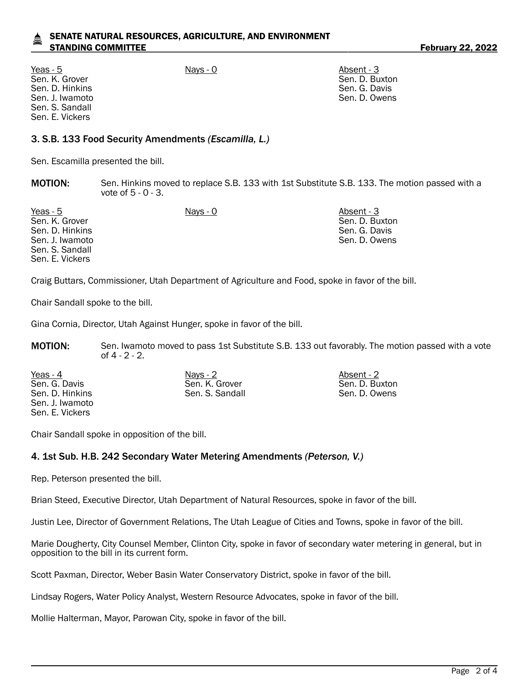## SENATE NATURAL RESOURCES, AGRICULTURE, AND ENVIRONMENT STANDING COMMITTEE **Fig. 10.22 The STANDING COMMITTEE February 22, 2022**

Yeas - 5 Nays - 0 Absent - 3 Sen. K. Grover Sen. D. Hinkins Sen. J. Iwamoto Sen. S. Sandall Sen. E. Vickers

## 3. S.B. 133 Food Security Amendments *(Escamilla, L.)*

Sen. Escamilla presented the bill.

**MOTION:** Sen. Hinkins moved to replace S.B. 133 with 1st Substitute S.B. 133. The motion passed with a vote of 5 - 0 - 3.

Yeas - 5 Nays - 0 Nays - 0 Nays - 0 Absent - 3 Sen. K. Grover Sen. D. Hinkins Sen. J. Iwamoto Sen. S. Sandall Sen. E. Vickers Sen. D. Buxton Sen. G. Davis Sen. D. Owens

Craig Buttars, Commissioner, Utah Department of Agriculture and Food, spoke in favor of the bill.

Chair Sandall spoke to the bill.

Gina Cornia, Director, Utah Against Hunger, spoke in favor of the bill.

**MOTION:** Sen. Iwamoto moved to pass 1st Substitute S.B. 133 out favorably. The motion passed with a vote of 4 - 2 - 2.

Yeas - 4 Nays - 2 Nays - 2 Absent - 2 Sen. G. Davis Sen. D. Hinkins Sen. J. Iwamoto Sen. E. Vickers

Sen. K. Grover Sen. S. Sandall Sen. D. Buxton Sen. D. Owens

Sen. D. Buxton Sen. G. Davis Sen. D. Owens

Chair Sandall spoke in opposition of the bill.

#### 4. 1st Sub. H.B. 242 Secondary Water Metering Amendments *(Peterson, V.)*

Rep. Peterson presented the bill.

Brian Steed, Executive Director, Utah Department of Natural Resources, spoke in favor of the bill.

Justin Lee, Director of Government Relations, The Utah League of Cities and Towns, spoke in favor of the bill.

Marie Dougherty, City Counsel Member, Clinton City, spoke in favor of secondary water metering in general, but in opposition to the bill in its current form.

Scott Paxman, Director, Weber Basin Water Conservatory District, spoke in favor of the bill.

Lindsay Rogers, Water Policy Analyst, Western Resource Advocates, spoke in favor of the bill.

Mollie Halterman, Mayor, Parowan City, spoke in favor of the bill.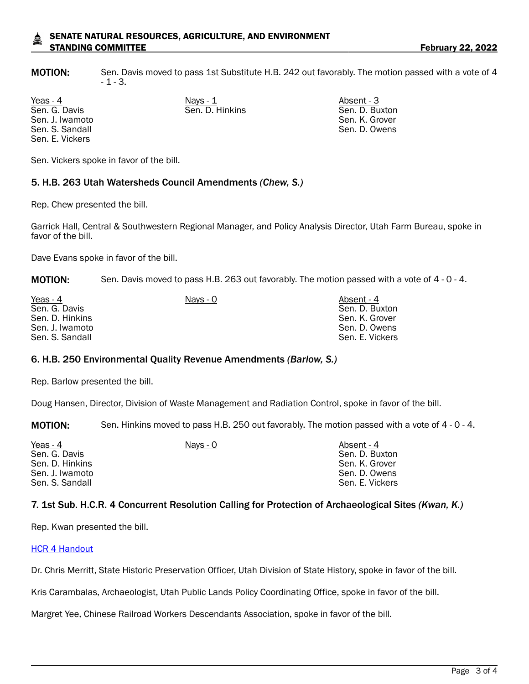#### SENATE NATURAL RESOURCES, AGRICULTURE, AND ENVIRONMENT STANDING COMMITTEE **FEBRUARY 22, 2022**

MOTION: Sen. Davis moved to pass 1st Substitute H.B. 242 out favorably. The motion passed with a vote of 4 - 1 - 3.

Sen. G. Davis Sen. J. Iwamoto Sen. S. Sandall Sen. E. Vickers

Yeas - 4 Nays - 1 Nays - 1 Absent - 3 Sen. D. Hinkins Sen. D. Buxton

Sen. K. Grover Sen. D. Owens

Sen. Vickers spoke in favor of the bill.

## 5. H.B. 263 Utah Watersheds Council Amendments *(Chew, S.)*

Rep. Chew presented the bill.

Garrick Hall, Central & Southwestern Regional Manager, and Policy Analysis Director, Utah Farm Bureau, spoke in favor of the bill.

Dave Evans spoke in favor of the bill.

MOTION: Sen. Davis moved to pass H.B. 263 out favorably. The motion passed with a vote of 4 - 0 - 4.

| Yeas - 4        | Nays - 0 | Absent - 4      |
|-----------------|----------|-----------------|
| Sen. G. Davis   |          | Sen. D. Buxton  |
| Sen. D. Hinkins |          | Sen. K. Grover  |
| Sen. J. Iwamoto |          | Sen. D. Owens   |
| Sen. S. Sandall |          | Sen. E. Vickers |

#### 6. H.B. 250 Environmental Quality Revenue Amendments *(Barlow, S.)*

Rep. Barlow presented the bill.

Doug Hansen, Director, Division of Waste Management and Radiation Control, spoke in favor of the bill.

MOTION: Sen. Hinkins moved to pass H.B. 250 out favorably. The motion passed with a vote of 4 - 0 - 4.

| Yeas - 4<br>Sen. G. Davis          | Nays - 0 | Absent - 4<br>Sen. D. Buxton     |
|------------------------------------|----------|----------------------------------|
| Sen. D. Hinkins                    |          | Sen. K. Grover                   |
| Sen. J. Iwamoto<br>Sen. S. Sandall |          | Sen. D. Owens<br>Sen. E. Vickers |

#### 7. 1st Sub. H.C.R. 4 Concurrent Resolution Calling for Protection of Archaeological Sites *(Kwan, K.)*

Rep. Kwan presented the bill.

#### [HCR 4 Handout](https://le.utah.gov/interim/2022/pdf/00001905.pdf)

Dr. Chris Merritt, State Historic Preservation Officer, Utah Division of State History, spoke in favor of the bill.

Kris Carambalas, Archaeologist, Utah Public Lands Policy Coordinating Office, spoke in favor of the bill.

Margret Yee, Chinese Railroad Workers Descendants Association, spoke in favor of the bill.